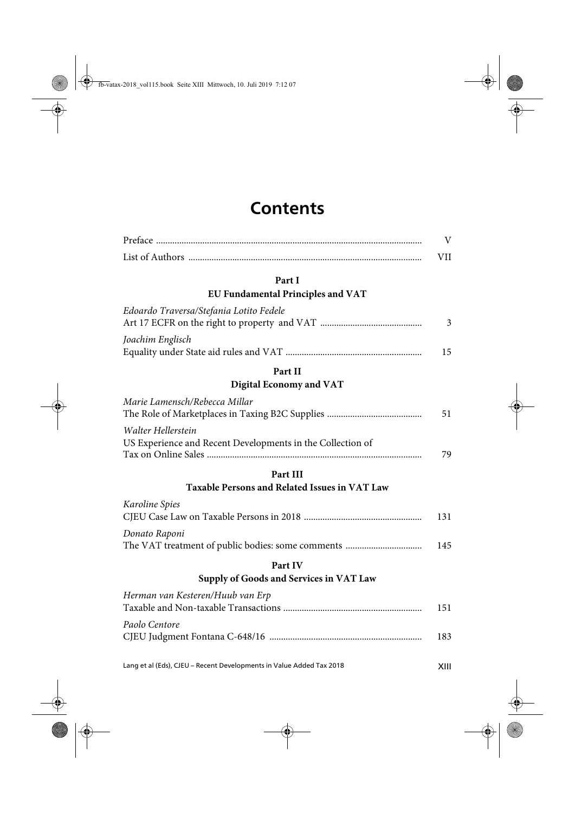# **Contents**

#### **Part I**

#### **EU Fundamental Principles and VAT**

| Edoardo Traversa/Stefania Lotito Fedele |    |
|-----------------------------------------|----|
|                                         |    |
| Joachim Englisch                        |    |
|                                         | 15 |

## **Part II**

#### **Digital Economy and VAT**

| Marie Lamensch/Rebecca Millar                              |    |
|------------------------------------------------------------|----|
|                                                            | 51 |
| Walter Hellerstein                                         |    |
| US Experience and Recent Developments in the Collection of |    |
|                                                            | 79 |

### **Part III**

## **Taxable Persons and Related Issues in VAT Law**

| Karoline Spies |     |
|----------------|-----|
|                | 131 |
| Donato Raponi  |     |
|                | 145 |

#### **Part IV**

# **Supply of Goods and Services in VAT Law**

| Herman van Kesteren/Huub van Erp |     |
|----------------------------------|-----|
|                                  | 151 |
| Paolo Centore                    |     |
|                                  | 183 |